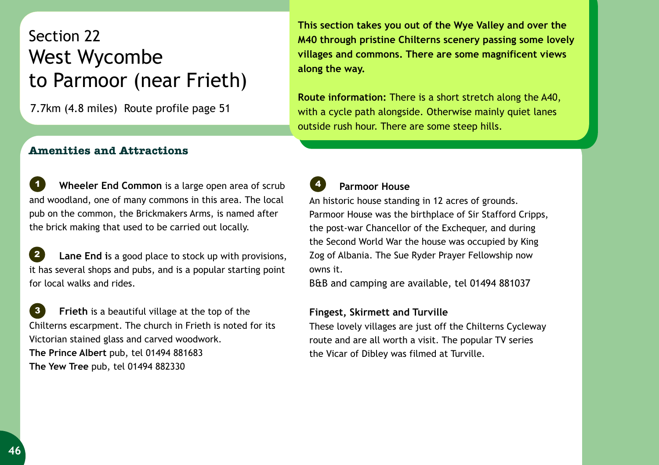## Section 22 to Parmoor (near Frieth) West Wycombe

7.7km (4.8 miles) Route profile page 51

**This section takes you out of the Wye Valley and over the M40 through pristine Chilterns scenery passing some lovely villages and commons. There are some magnificent views along the way.** 

**Route information:** There is a short stretch along the A40, with a cycle path alongside. Otherwise mainly quiet lanes outside rush hour. There are some steep hills.

## **Amenities and Attractions**

 **Wheeler End Common** is a large open area of scrub and woodland, one of many commons in this area. The local pub on the common, the Brickmakers Arms, is named after the brick making that used to be carried out locally. *1*

 **Lane End i**s a good place to stock up with provisions, it has several shops and pubs, and is a popular starting point for local walks and rides. *2*

 **Frieth** is a beautiful village at the top of the Chilterns escarpment. The church in Frieth is noted for its Victorian stained glass and carved woodwork. **The Prince Albert** pub, tel 01494 881683 **The Yew Tree** pub, tel 01494 882330 *3*

## **Parmoor House**

*4*

An historic house standing in 12 acres of grounds. Parmoor House was the birthplace of Sir Stafford Cripps, the post-war Chancellor of the Exchequer, and during the Second World War the house was occupied by King Zog of Albania. The Sue Ryder Prayer Fellowship now owns it.

B&B and camping are available, tel 01494 881037

## **Fingest, Skirmett and Turville**

These lovely villages are just off the Chilterns Cycleway route and are all worth a visit. The popular TV series the Vicar of Dibley was filmed at Turville.